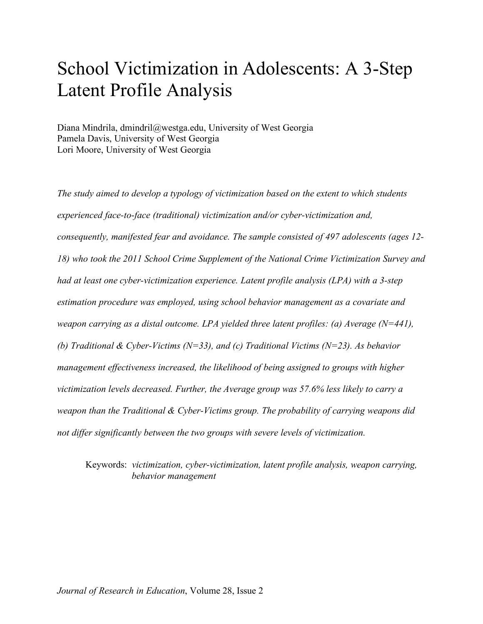# School Victimization in Adolescents: A 3-Step Latent Profile Analysis

Diana Mindrila, dmindril@westga.edu, University of West Georgia Pamela Davis, University of West Georgia Lori Moore, University of West Georgia

*The study aimed to develop a typology of victimization based on the extent to which students experienced face-to-face (traditional) victimization and/or cyber-victimization and, consequently, manifested fear and avoidance. The sample consisted of 497 adolescents (ages 12- 18) who took the 2011 School Crime Supplement of the National Crime Victimization Survey and had at least one cyber-victimization experience. Latent profile analysis (LPA) with a 3-step estimation procedure was employed, using school behavior management as a covariate and weapon carrying as a distal outcome. LPA yielded three latent profiles: (a) Average (N=441), (b) Traditional & Cyber-Victims (N=33), and (c) Traditional Victims (N=23). As behavior management effectiveness increased, the likelihood of being assigned to groups with higher victimization levels decreased. Further, the Average group was 57.6% less likely to carry a weapon than the Traditional & Cyber-Victims group. The probability of carrying weapons did not differ significantly between the two groups with severe levels of victimization.*

Keywords: *victimization, cyber-victimization, latent profile analysis, weapon carrying, behavior management*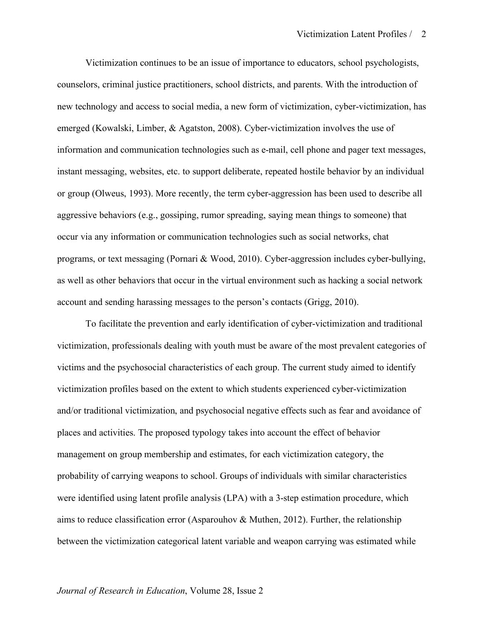Victimization continues to be an issue of importance to educators, school psychologists, counselors, criminal justice practitioners, school districts, and parents. With the introduction of new technology and access to social media, a new form of victimization, cyber-victimization, has emerged (Kowalski, Limber, & Agatston, 2008). Cyber-victimization involves the use of information and communication technologies such as e-mail, cell phone and pager text messages, instant messaging, websites, etc. to support deliberate, repeated hostile behavior by an individual or group (Olweus, 1993). More recently, the term cyber-aggression has been used to describe all aggressive behaviors (e.g., gossiping, rumor spreading, saying mean things to someone) that occur via any information or communication technologies such as social networks, chat programs, or text messaging (Pornari & Wood, 2010). Cyber-aggression includes cyber-bullying, as well as other behaviors that occur in the virtual environment such as hacking a social network account and sending harassing messages to the person's contacts (Grigg, 2010).

To facilitate the prevention and early identification of cyber-victimization and traditional victimization, professionals dealing with youth must be aware of the most prevalent categories of victims and the psychosocial characteristics of each group. The current study aimed to identify victimization profiles based on the extent to which students experienced cyber-victimization and/or traditional victimization, and psychosocial negative effects such as fear and avoidance of places and activities. The proposed typology takes into account the effect of behavior management on group membership and estimates, for each victimization category, the probability of carrying weapons to school. Groups of individuals with similar characteristics were identified using latent profile analysis (LPA) with a 3-step estimation procedure, which aims to reduce classification error (Asparouhov  $\&$  Muthen, 2012). Further, the relationship between the victimization categorical latent variable and weapon carrying was estimated while

#### *Journal of Research in Education*, Volume 28, Issue 2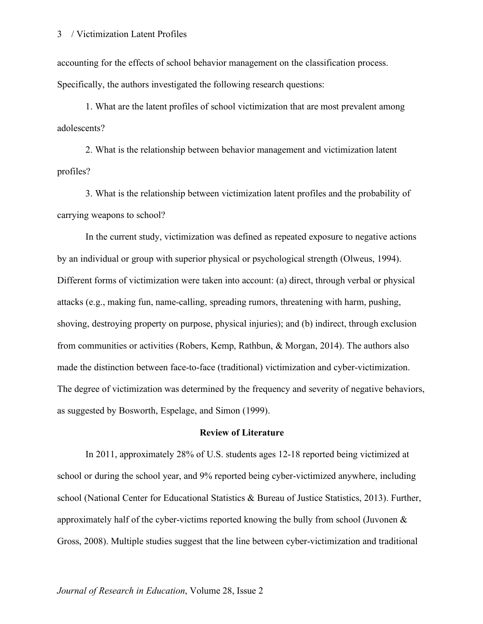accounting for the effects of school behavior management on the classification process. Specifically, the authors investigated the following research questions:

1. What are the latent profiles of school victimization that are most prevalent among adolescents?

2. What is the relationship between behavior management and victimization latent profiles?

3. What is the relationship between victimization latent profiles and the probability of carrying weapons to school?

In the current study, victimization was defined as repeated exposure to negative actions by an individual or group with superior physical or psychological strength (Olweus, 1994). Different forms of victimization were taken into account: (a) direct, through verbal or physical attacks (e.g., making fun, name-calling, spreading rumors, threatening with harm, pushing, shoving, destroying property on purpose, physical injuries); and (b) indirect, through exclusion from communities or activities (Robers, Kemp, Rathbun, & Morgan, 2014). The authors also made the distinction between face-to-face (traditional) victimization and cyber-victimization. The degree of victimization was determined by the frequency and severity of negative behaviors, as suggested by Bosworth, Espelage, and Simon (1999).

#### **Review of Literature**

In 2011, approximately 28% of U.S. students ages 12-18 reported being victimized at school or during the school year, and 9% reported being cyber-victimized anywhere, including school (National Center for Educational Statistics & Bureau of Justice Statistics, 2013). Further, approximately half of the cyber-victims reported knowing the bully from school (Juvonen & Gross, 2008). Multiple studies suggest that the line between cyber-victimization and traditional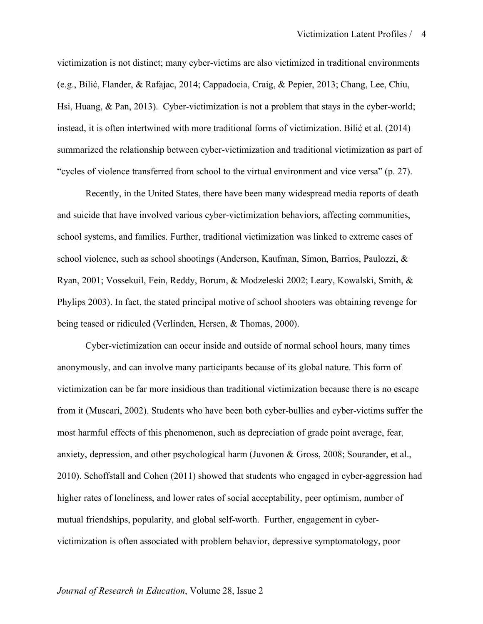victimization is not distinct; many cyber-victims are also victimized in traditional environments (e.g., Bilić, Flander, & Rafajac, 2014; Cappadocia, Craig, & Pepier, 2013; Chang, Lee, Chiu, Hsi, Huang, & Pan, 2013). Cyber-victimization is not a problem that stays in the cyber-world; instead, it is often intertwined with more traditional forms of victimization. Bilić et al. (2014) summarized the relationship between cyber-victimization and traditional victimization as part of "cycles of violence transferred from school to the virtual environment and vice versa" (p. 27).

Recently, in the United States, there have been many widespread media reports of death and suicide that have involved various cyber-victimization behaviors, affecting communities, school systems, and families. Further, traditional victimization was linked to extreme cases of school violence, such as school shootings (Anderson, Kaufman, Simon, Barrios, Paulozzi, & Ryan, 2001; Vossekuil, Fein, Reddy, Borum, & Modzeleski 2002; Leary, Kowalski, Smith, & Phylips 2003). In fact, the stated principal motive of school shooters was obtaining revenge for being teased or ridiculed (Verlinden, Hersen, & Thomas, 2000).

Cyber-victimization can occur inside and outside of normal school hours, many times anonymously, and can involve many participants because of its global nature. This form of victimization can be far more insidious than traditional victimization because there is no escape from it (Muscari, 2002). Students who have been both cyber-bullies and cyber-victims suffer the most harmful effects of this phenomenon, such as depreciation of grade point average, fear, anxiety, depression, and other psychological harm (Juvonen & Gross, 2008; Sourander, et al., 2010). Schoffstall and Cohen (2011) showed that students who engaged in cyber-aggression had higher rates of loneliness, and lower rates of social acceptability, peer optimism, number of mutual friendships, popularity, and global self-worth. Further, engagement in cybervictimization is often associated with problem behavior, depressive symptomatology, poor

#### *Journal of Research in Education*, Volume 28, Issue 2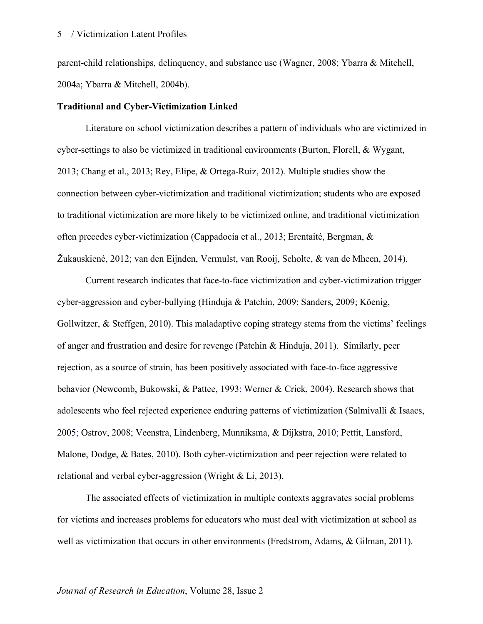parent-child relationships, delinquency, and substance use (Wagner, 2008; Ybarra & Mitchell, 2004a; Ybarra & Mitchell, 2004b).

#### **Traditional and Cyber-Victimization Linked**

Literature on school victimization describes a pattern of individuals who are victimized in cyber-settings to also be victimized in traditional environments (Burton, Florell, & Wygant, 2013; Chang et al., 2013; Rey, Elipe, & Ortega-Ruiz, 2012). Multiple studies show the connection between cyber-victimization and traditional victimization; students who are exposed to traditional victimization are more likely to be victimized online, and traditional victimization often precedes cyber-victimization (Cappadocia et al., 2013; Erentaité, Bergman, & Žukauskiené, 2012; van den Eijnden, Vermulst, van Rooij, Scholte, & van de Mheen, 2014).

Current research indicates that face-to-face victimization and cyber-victimization trigger cyber-aggression and cyber-bullying (Hinduja & Patchin, 2009; Sanders, 2009; Köenig, Gollwitzer, & Steffgen, 2010). This maladaptive coping strategy stems from the victims' feelings of anger and frustration and desire for revenge (Patchin & Hinduja, 2011). Similarly, peer rejection, as a source of strain, has been positively associated with face-to-face aggressive behavior (Newcomb, Bukowski, & Pattee, 1993; Werner & Crick, 2004). Research shows that adolescents who feel rejected experience enduring patterns of victimization (Salmivalli & Isaacs, 2005; Ostrov, 2008; Veenstra, Lindenberg, Munniksma, & Dijkstra, 2010; Pettit, Lansford, Malone, Dodge, & Bates, 2010). Both cyber-victimization and peer rejection were related to relational and verbal cyber-aggression (Wright & Li, 2013).

The associated effects of victimization in multiple contexts aggravates social problems for victims and increases problems for educators who must deal with victimization at school as well as victimization that occurs in other environments (Fredstrom, Adams, & Gilman, 2011).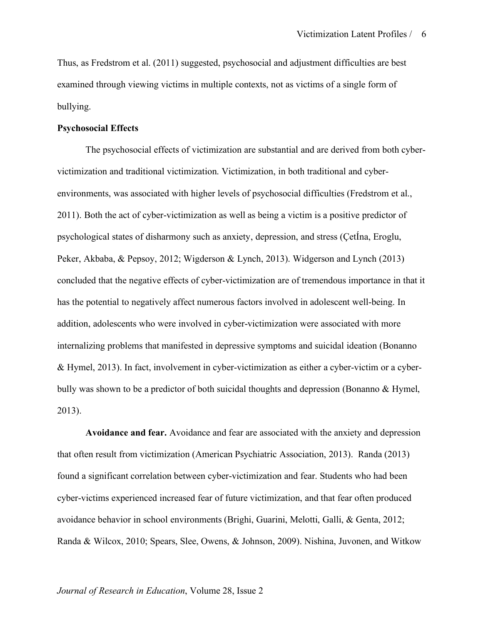Thus, as Fredstrom et al. (2011) suggested, psychosocial and adjustment difficulties are best examined through viewing victims in multiple contexts, not as victims of a single form of bullying.

#### **Psychosocial Effects**

The psychosocial effects of victimization are substantial and are derived from both cybervictimization and traditional victimization. Victimization, in both traditional and cyberenvironments, was associated with higher levels of psychosocial difficulties (Fredstrom et al., 2011). Both the act of cyber-victimization as well as being a victim is a positive predictor of psychological states of disharmony such as anxiety, depression, and stress (ÇetÍna, Eroglu, Peker, Akbaba, & Pepsoy, 2012; Wigderson & Lynch, 2013). Widgerson and Lynch (2013) concluded that the negative effects of cyber-victimization are of tremendous importance in that it has the potential to negatively affect numerous factors involved in adolescent well-being. In addition, adolescents who were involved in cyber-victimization were associated with more internalizing problems that manifested in depressive symptoms and suicidal ideation (Bonanno & Hymel, 2013). In fact, involvement in cyber-victimization as either a cyber-victim or a cyberbully was shown to be a predictor of both suicidal thoughts and depression (Bonanno & Hymel, 2013).

**Avoidance and fear.** Avoidance and fear are associated with the anxiety and depression that often result from victimization (American Psychiatric Association, 2013). Randa (2013) found a significant correlation between cyber-victimization and fear. Students who had been cyber-victims experienced increased fear of future victimization, and that fear often produced avoidance behavior in school environments (Brighi, Guarini, Melotti, Galli, & Genta, 2012; Randa & Wilcox, 2010; Spears, Slee, Owens, & Johnson, 2009). Nishina, Juvonen, and Witkow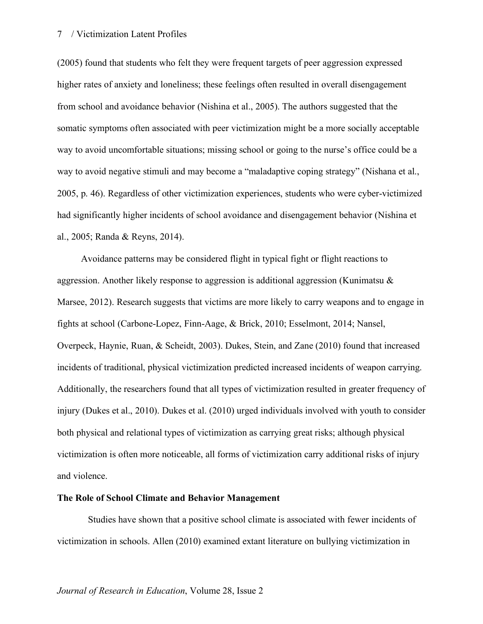(2005) found that students who felt they were frequent targets of peer aggression expressed higher rates of anxiety and loneliness; these feelings often resulted in overall disengagement from school and avoidance behavior (Nishina et al., 2005). The authors suggested that the somatic symptoms often associated with peer victimization might be a more socially acceptable way to avoid uncomfortable situations; missing school or going to the nurse's office could be a way to avoid negative stimuli and may become a "maladaptive coping strategy" (Nishana et al., 2005, p. 46). Regardless of other victimization experiences, students who were cyber-victimized had significantly higher incidents of school avoidance and disengagement behavior (Nishina et al., 2005; Randa & Reyns, 2014).

Avoidance patterns may be considered flight in typical fight or flight reactions to aggression. Another likely response to aggression is additional aggression (Kunimatsu & Marsee, 2012). Research suggests that victims are more likely to carry weapons and to engage in fights at school (Carbone-Lopez, Finn-Aage, & Brick, 2010; Esselmont, 2014; Nansel, Overpeck, Haynie, Ruan, & Scheidt, 2003). Dukes, Stein, and Zane (2010) found that increased incidents of traditional, physical victimization predicted increased incidents of weapon carrying. Additionally, the researchers found that all types of victimization resulted in greater frequency of injury (Dukes et al., 2010). Dukes et al. (2010) urged individuals involved with youth to consider both physical and relational types of victimization as carrying great risks; although physical victimization is often more noticeable, all forms of victimization carry additional risks of injury and violence.

#### **The Role of School Climate and Behavior Management**

Studies have shown that a positive school climate is associated with fewer incidents of victimization in schools. Allen (2010) examined extant literature on bullying victimization in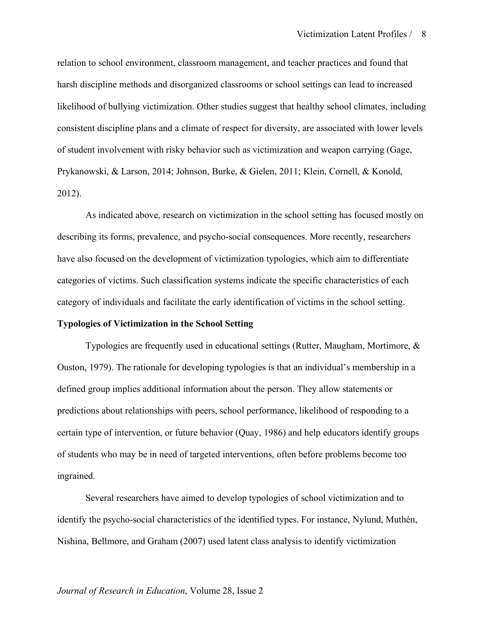relation to school environment, classroom management, and teacher practices and found that harsh discipline methods and disorganized classrooms or school settings can lead to increased likelihood of bullying victimization. Other studies suggest that healthy school climates, including consistent discipline plans and a climate of respect for diversity, are associated with lower levels of student involvement with risky behavior such as victimization and weapon carrying (Gage, Prykanowski, & Larson, 2014; Johnson, Burke, & Gielen, 2011; Klein, Cornell, & Konold, 2012).

As indicated above, research on victimization in the school setting has focused mostly on describing its forms, prevalence, and psycho-social consequences. More recently, researchers have also focused on the development of victimization typologies, which aim to differentiate categories of victims. Such classification systems indicate the specific characteristics of each category of individuals and facilitate the early identification of victims in the school setting.

#### **Typologies of Victimization in the School Setting**

Typologies are frequently used in educational settings (Rutter, Maugham, Mortimore, & Ouston, 1979). The rationale for developing typologies is that an individual's membership in a defined group implies additional information about the person. They allow statements or predictions about relationships with peers, school performance, likelihood of responding to a certain type of intervention, or future behavior (Quay, 1986) and help educators identify groups of students who may be in need of targeted interventions, often before problems become too ingrained.

Several researchers have aimed to develop typologies of school victimization and to identify the psycho-social characteristics of the identified types. For instance, Nylund, Muthén, Nishina, Bellmore, and Graham (2007) used latent class analysis to identify victimization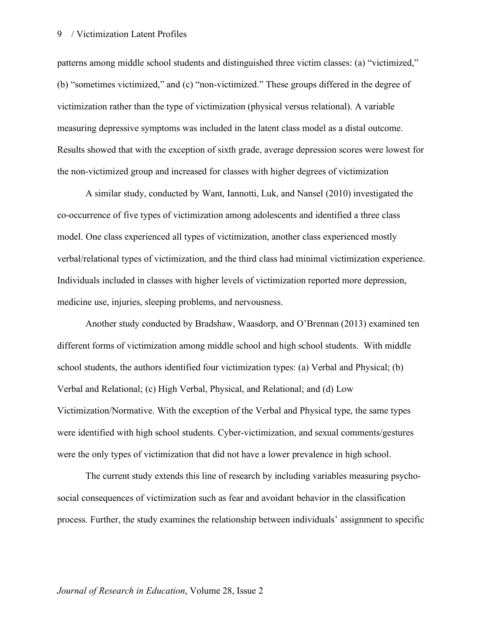patterns among middle school students and distinguished three victim classes: (a) "victimized," (b) "sometimes victimized," and (c) "non-victimized." These groups differed in the degree of victimization rather than the type of victimization (physical versus relational). A variable measuring depressive symptoms was included in the latent class model as a distal outcome. Results showed that with the exception of sixth grade, average depression scores were lowest for the non-victimized group and increased for classes with higher degrees of victimization

A similar study, conducted by Want, Iannotti, Luk, and Nansel (2010) investigated the co-occurrence of five types of victimization among adolescents and identified a three class model. One class experienced all types of victimization, another class experienced mostly verbal/relational types of victimization, and the third class had minimal victimization experience. Individuals included in classes with higher levels of victimization reported more depression, medicine use, injuries, sleeping problems, and nervousness.

Another study conducted by Bradshaw, Waasdorp, and O'Brennan (2013) examined ten different forms of victimization among middle school and high school students. With middle school students, the authors identified four victimization types: (a) Verbal and Physical; (b) Verbal and Relational; (c) High Verbal, Physical, and Relational; and (d) Low Victimization/Normative. With the exception of the Verbal and Physical type, the same types were identified with high school students. Cyber-victimization, and sexual comments/gestures were the only types of victimization that did not have a lower prevalence in high school.

The current study extends this line of research by including variables measuring psychosocial consequences of victimization such as fear and avoidant behavior in the classification process. Further, the study examines the relationship between individuals' assignment to specific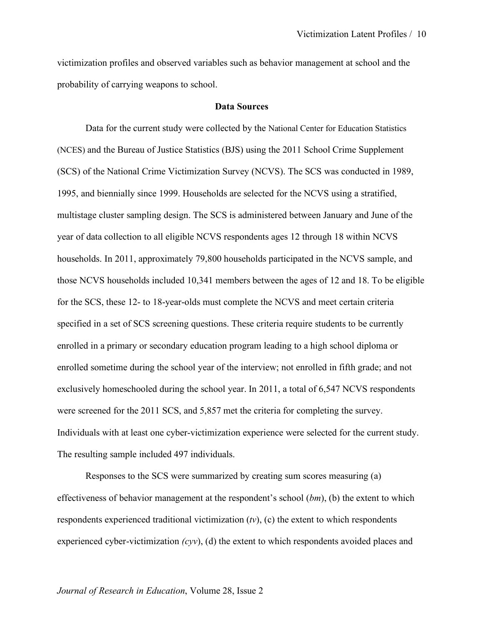victimization profiles and observed variables such as behavior management at school and the probability of carrying weapons to school.

#### **Data Sources**

Data for the current study were collected by the National Center for Education Statistics (NCES) and the Bureau of Justice Statistics (BJS) using the 2011 School Crime Supplement (SCS) of the National Crime Victimization Survey (NCVS). The SCS was conducted in 1989, 1995, and biennially since 1999. Households are selected for the NCVS using a stratified, multistage cluster sampling design. The SCS is administered between January and June of the year of data collection to all eligible NCVS respondents ages 12 through 18 within NCVS households. In 2011, approximately 79,800 households participated in the NCVS sample, and those NCVS households included 10,341 members between the ages of 12 and 18. To be eligible for the SCS, these 12- to 18-year-olds must complete the NCVS and meet certain criteria specified in a set of SCS screening questions. These criteria require students to be currently enrolled in a primary or secondary education program leading to a high school diploma or enrolled sometime during the school year of the interview; not enrolled in fifth grade; and not exclusively homeschooled during the school year. In 2011, a total of 6,547 NCVS respondents were screened for the 2011 SCS, and 5,857 met the criteria for completing the survey. Individuals with at least one cyber-victimization experience were selected for the current study. The resulting sample included 497 individuals.

Responses to the SCS were summarized by creating sum scores measuring (a) effectiveness of behavior management at the respondent's school (*bm*), (b) the extent to which respondents experienced traditional victimization (*tv*), (c) the extent to which respondents experienced cyber-victimization *(cyv*), (d) the extent to which respondents avoided places and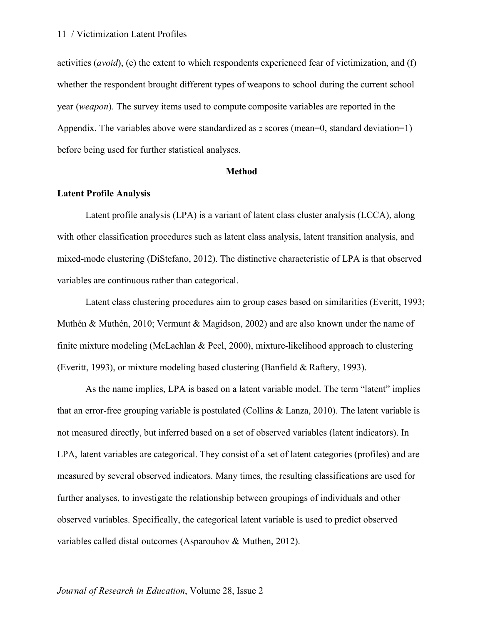activities (*avoid*), (e) the extent to which respondents experienced fear of victimization, and (f) whether the respondent brought different types of weapons to school during the current school year (*weapon*). The survey items used to compute composite variables are reported in the Appendix. The variables above were standardized as *z* scores (mean=0, standard deviation=1) before being used for further statistical analyses.

#### **Method**

#### **Latent Profile Analysis**

Latent profile analysis (LPA) is a variant of latent class cluster analysis (LCCA), along with other classification procedures such as latent class analysis, latent transition analysis, and mixed-mode clustering (DiStefano, 2012). The distinctive characteristic of LPA is that observed variables are continuous rather than categorical.

Latent class clustering procedures aim to group cases based on similarities (Everitt, 1993; Muthén & Muthén, 2010; Vermunt & Magidson, 2002) and are also known under the name of finite mixture modeling (McLachlan & Peel, 2000), mixture-likelihood approach to clustering (Everitt, 1993), or mixture modeling based clustering (Banfield & Raftery, 1993).

As the name implies, LPA is based on a latent variable model. The term "latent" implies that an error-free grouping variable is postulated (Collins & Lanza, 2010). The latent variable is not measured directly, but inferred based on a set of observed variables (latent indicators). In LPA, latent variables are categorical. They consist of a set of latent categories (profiles) and are measured by several observed indicators. Many times, the resulting classifications are used for further analyses, to investigate the relationship between groupings of individuals and other observed variables. Specifically, the categorical latent variable is used to predict observed variables called distal outcomes (Asparouhov & Muthen, 2012).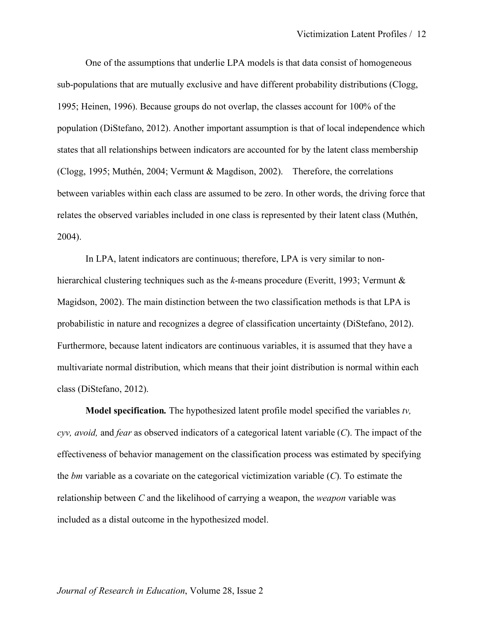One of the assumptions that underlie LPA models is that data consist of homogeneous sub-populations that are mutually exclusive and have different probability distributions (Clogg, 1995; Heinen, 1996). Because groups do not overlap, the classes account for 100% of the population (DiStefano, 2012). Another important assumption is that of local independence which states that all relationships between indicators are accounted for by the latent class membership (Clogg, 1995; Muthén, 2004; Vermunt & Magdison, 2002). Therefore, the correlations between variables within each class are assumed to be zero. In other words, the driving force that relates the observed variables included in one class is represented by their latent class (Muthén, 2004).

In LPA, latent indicators are continuous; therefore, LPA is very similar to nonhierarchical clustering techniques such as the *k*-means procedure (Everitt, 1993; Vermunt & Magidson, 2002). The main distinction between the two classification methods is that LPA is probabilistic in nature and recognizes a degree of classification uncertainty (DiStefano, 2012). Furthermore, because latent indicators are continuous variables, it is assumed that they have a multivariate normal distribution, which means that their joint distribution is normal within each class (DiStefano, 2012).

**Model specification***.* The hypothesized latent profile model specified the variables *tv, cyv, avoid,* and *fear* as observed indicators of a categorical latent variable (*C*). The impact of the effectiveness of behavior management on the classification process was estimated by specifying the *bm* variable as a covariate on the categorical victimization variable (*C*). To estimate the relationship between *C* and the likelihood of carrying a weapon, the *weapon* variable was included as a distal outcome in the hypothesized model.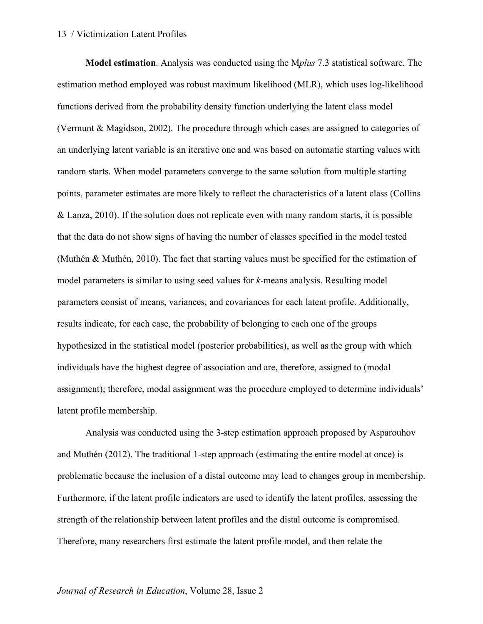**Model estimation**. Analysis was conducted using the M*plus* 7.3 statistical software. The estimation method employed was robust maximum likelihood (MLR), which uses log-likelihood functions derived from the probability density function underlying the latent class model (Vermunt & Magidson, 2002). The procedure through which cases are assigned to categories of an underlying latent variable is an iterative one and was based on automatic starting values with random starts. When model parameters converge to the same solution from multiple starting points, parameter estimates are more likely to reflect the characteristics of a latent class (Collins & Lanza, 2010). If the solution does not replicate even with many random starts, it is possible that the data do not show signs of having the number of classes specified in the model tested (Muthén & Muthén, 2010). The fact that starting values must be specified for the estimation of model parameters is similar to using seed values for *k*-means analysis. Resulting model parameters consist of means, variances, and covariances for each latent profile. Additionally, results indicate, for each case, the probability of belonging to each one of the groups hypothesized in the statistical model (posterior probabilities), as well as the group with which individuals have the highest degree of association and are, therefore, assigned to (modal assignment); therefore, modal assignment was the procedure employed to determine individuals' latent profile membership.

Analysis was conducted using the 3-step estimation approach proposed by Asparouhov and Muthén (2012). The traditional 1-step approach (estimating the entire model at once) is problematic because the inclusion of a distal outcome may lead to changes group in membership. Furthermore, if the latent profile indicators are used to identify the latent profiles, assessing the strength of the relationship between latent profiles and the distal outcome is compromised. Therefore, many researchers first estimate the latent profile model, and then relate the

#### *Journal of Research in Education*, Volume 28, Issue 2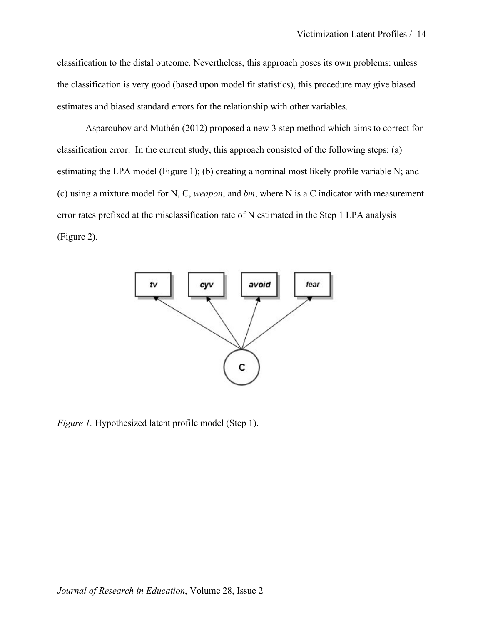classification to the distal outcome. Nevertheless, this approach poses its own problems: unless the classification is very good (based upon model fit statistics), this procedure may give biased estimates and biased standard errors for the relationship with other variables.

Asparouhov and Muthén (2012) proposed a new 3-step method which aims to correct for classification error. In the current study, this approach consisted of the following steps: (a) estimating the LPA model (Figure 1); (b) creating a nominal most likely profile variable N; and (c) using a mixture model for N, C, *weapon*, and *bm*, where N is a C indicator with measurement error rates prefixed at the misclassification rate of N estimated in the Step 1 LPA analysis (Figure 2).



*Figure 1.* Hypothesized latent profile model (Step 1).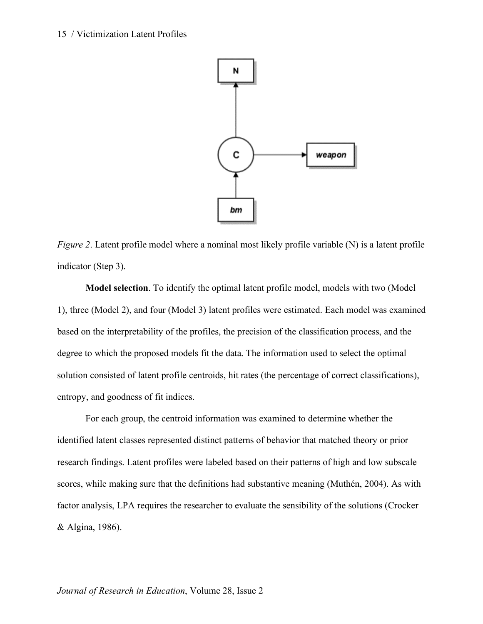

*Figure 2.* Latent profile model where a nominal most likely profile variable (N) is a latent profile indicator (Step 3).

**Model selection**. To identify the optimal latent profile model, models with two (Model 1), three (Model 2), and four (Model 3) latent profiles were estimated. Each model was examined based on the interpretability of the profiles, the precision of the classification process, and the degree to which the proposed models fit the data. The information used to select the optimal solution consisted of latent profile centroids, hit rates (the percentage of correct classifications), entropy, and goodness of fit indices.

For each group, the centroid information was examined to determine whether the identified latent classes represented distinct patterns of behavior that matched theory or prior research findings. Latent profiles were labeled based on their patterns of high and low subscale scores, while making sure that the definitions had substantive meaning (Muthén, 2004). As with factor analysis, LPA requires the researcher to evaluate the sensibility of the solutions (Crocker & Algina, 1986).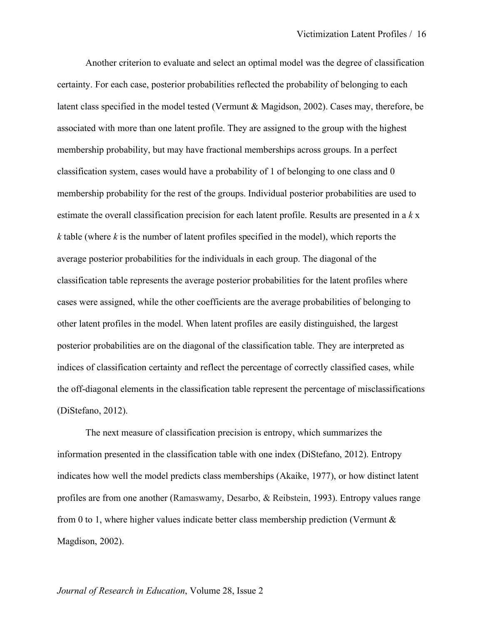Another criterion to evaluate and select an optimal model was the degree of classification certainty. For each case, posterior probabilities reflected the probability of belonging to each latent class specified in the model tested (Vermunt & Magidson, 2002). Cases may, therefore, be associated with more than one latent profile. They are assigned to the group with the highest membership probability, but may have fractional memberships across groups. In a perfect classification system, cases would have a probability of 1 of belonging to one class and 0 membership probability for the rest of the groups. Individual posterior probabilities are used to estimate the overall classification precision for each latent profile. Results are presented in a *k* x *k* table (where *k* is the number of latent profiles specified in the model), which reports the average posterior probabilities for the individuals in each group. The diagonal of the classification table represents the average posterior probabilities for the latent profiles where cases were assigned, while the other coefficients are the average probabilities of belonging to other latent profiles in the model. When latent profiles are easily distinguished, the largest posterior probabilities are on the diagonal of the classification table. They are interpreted as indices of classification certainty and reflect the percentage of correctly classified cases, while the off-diagonal elements in the classification table represent the percentage of misclassifications (DiStefano, 2012).

The next measure of classification precision is entropy, which summarizes the information presented in the classification table with one index (DiStefano, 2012). Entropy indicates how well the model predicts class memberships (Akaike, 1977), or how distinct latent profiles are from one another (Ramaswamy, Desarbo, & Reibstein, 1993). Entropy values range from 0 to 1, where higher values indicate better class membership prediction (Vermunt  $\&$ Magdison, 2002).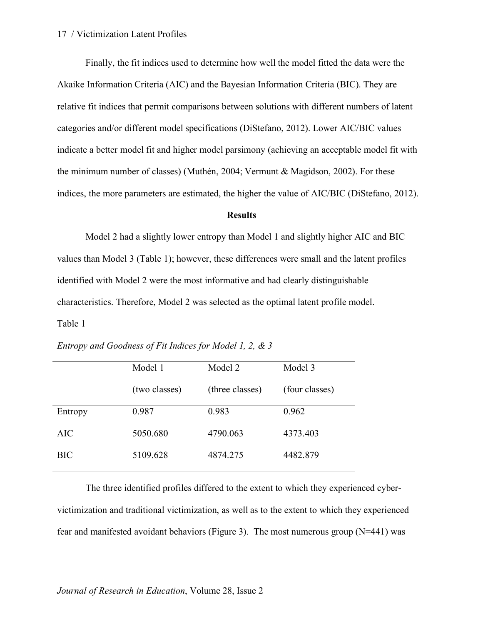Finally, the fit indices used to determine how well the model fitted the data were the Akaike Information Criteria (AIC) and the Bayesian Information Criteria (BIC). They are relative fit indices that permit comparisons between solutions with different numbers of latent categories and/or different model specifications (DiStefano, 2012). Lower AIC/BIC values indicate a better model fit and higher model parsimony (achieving an acceptable model fit with the minimum number of classes) (Muthén, 2004; Vermunt & Magidson, 2002). For these indices, the more parameters are estimated, the higher the value of AIC/BIC (DiStefano, 2012).

#### **Results**

Model 2 had a slightly lower entropy than Model 1 and slightly higher AIC and BIC values than Model 3 (Table 1); however, these differences were small and the latent profiles identified with Model 2 were the most informative and had clearly distinguishable characteristics. Therefore, Model 2 was selected as the optimal latent profile model. Table 1

|            | Model 1       | Model 2         | Model 3        |
|------------|---------------|-----------------|----------------|
|            | (two classes) | (three classes) | (four classes) |
| Entropy    | 0.987         | 0.983           | 0.962          |
| <b>AIC</b> | 5050.680      | 4790.063        | 4373.403       |
| <b>BIC</b> | 5109.628      | 4874.275        | 4482.879       |

*Entropy and Goodness of Fit Indices for Model 1, 2, & 3*

The three identified profiles differed to the extent to which they experienced cybervictimization and traditional victimization, as well as to the extent to which they experienced fear and manifested avoidant behaviors (Figure 3). The most numerous group (N=441) was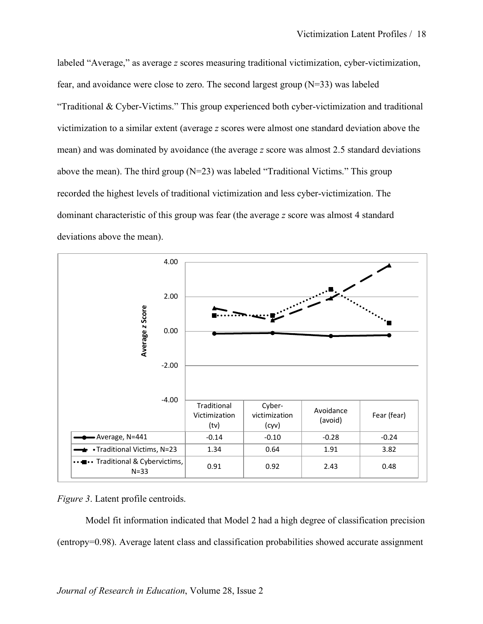labeled "Average," as average *z* scores measuring traditional victimization, cyber-victimization, fear, and avoidance were close to zero. The second largest group (N=33) was labeled "Traditional & Cyber-Victims." This group experienced both cyber-victimization and traditional victimization to a similar extent (average *z* scores were almost one standard deviation above the mean) and was dominated by avoidance (the average *z* score was almost 2.5 standard deviations above the mean). The third group (N=23) was labeled "Traditional Victims." This group recorded the highest levels of traditional victimization and less cyber-victimization. The dominant characteristic of this group was fear (the average *z* score was almost 4 standard deviations above the mean).



*Figure 3*. Latent profile centroids.

Model fit information indicated that Model 2 had a high degree of classification precision (entropy=0.98). Average latent class and classification probabilities showed accurate assignment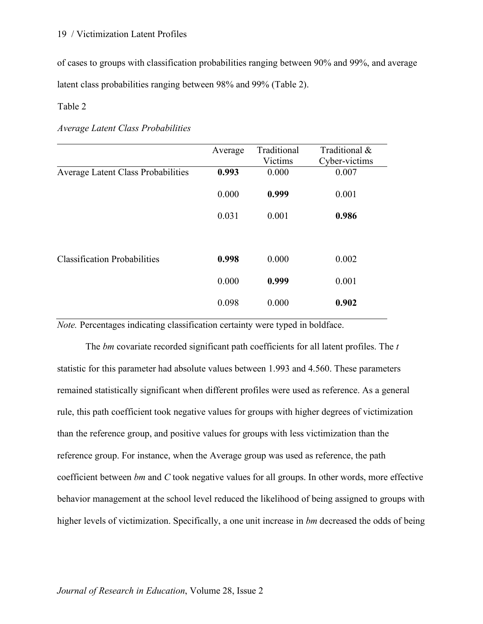of cases to groups with classification probabilities ranging between 90% and 99%, and average latent class probabilities ranging between 98% and 99% (Table 2).

Table 2

| Average Latent Class Probabilities |  |  |  |
|------------------------------------|--|--|--|
|------------------------------------|--|--|--|

|                                           | Average | Traditional<br>Victims | Traditional &<br>Cyber-victims |
|-------------------------------------------|---------|------------------------|--------------------------------|
| <b>Average Latent Class Probabilities</b> | 0.993   | 0.000                  | 0.007                          |
|                                           | 0.000   | 0.999                  | 0.001                          |
|                                           | 0.031   | 0.001                  | 0.986                          |
|                                           |         |                        |                                |
| <b>Classification Probabilities</b>       | 0.998   | 0.000                  | 0.002                          |
|                                           | 0.000   | 0.999                  | 0.001                          |
|                                           | 0.098   | 0.000                  | 0.902                          |

*Note.* Percentages indicating classification certainty were typed in boldface.

The *bm* covariate recorded significant path coefficients for all latent profiles. The *t*  statistic for this parameter had absolute values between 1.993 and 4.560. These parameters remained statistically significant when different profiles were used as reference. As a general rule, this path coefficient took negative values for groups with higher degrees of victimization than the reference group, and positive values for groups with less victimization than the reference group. For instance, when the Average group was used as reference, the path coefficient between *bm* and *C* took negative values for all groups. In other words, more effective behavior management at the school level reduced the likelihood of being assigned to groups with higher levels of victimization. Specifically, a one unit increase in *bm* decreased the odds of being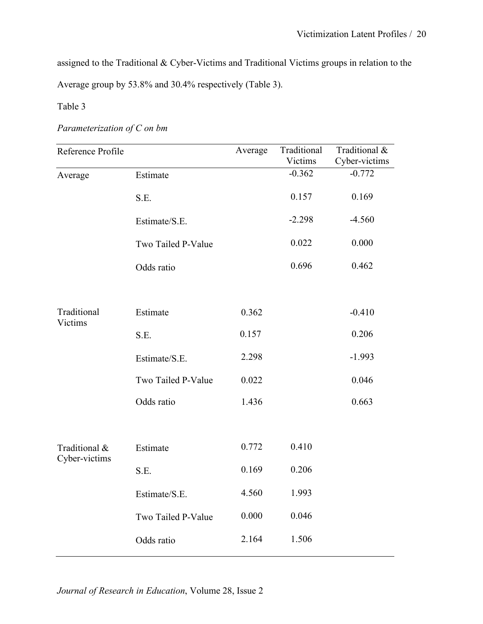assigned to the Traditional & Cyber-Victims and Traditional Victims groups in relation to the Average group by 53.8% and 30.4% respectively (Table 3).

Table 3

# *Parameterization of C on bm*

| Reference Profile              |                    | Average | Traditional<br>Victims | Traditional &<br>Cyber-victims |
|--------------------------------|--------------------|---------|------------------------|--------------------------------|
| Average                        | Estimate           |         | $-0.362$               | $-0.772$                       |
|                                | S.E.               |         | 0.157                  | 0.169                          |
|                                | Estimate/S.E.      |         | $-2.298$               | $-4.560$                       |
|                                | Two Tailed P-Value |         | 0.022                  | 0.000                          |
|                                | Odds ratio         |         | 0.696                  | 0.462                          |
|                                |                    |         |                        |                                |
| Traditional<br>Victims         | Estimate           | 0.362   |                        | $-0.410$                       |
|                                | S.E.               | 0.157   |                        | 0.206                          |
|                                | Estimate/S.E.      | 2.298   |                        | $-1.993$                       |
|                                | Two Tailed P-Value | 0.022   |                        | 0.046                          |
|                                | Odds ratio         | 1.436   |                        | 0.663                          |
|                                |                    |         |                        |                                |
| Traditional &<br>Cyber-victims | Estimate           | 0.772   | 0.410                  |                                |
|                                | S.E.               | 0.169   | 0.206                  |                                |
|                                | Estimate/S.E.      | 4.560   | 1.993                  |                                |
|                                | Two Tailed P-Value | 0.000   | 0.046                  |                                |
|                                | Odds ratio         | 2.164   | 1.506                  |                                |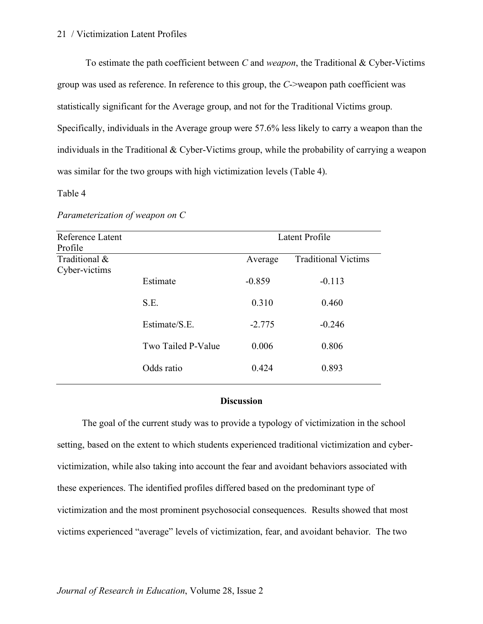To estimate the path coefficient between *C* and *weapon*, the Traditional & Cyber-Victims group was used as reference. In reference to this group, the *C*->weapon path coefficient was statistically significant for the Average group, and not for the Traditional Victims group. Specifically, individuals in the Average group were 57.6% less likely to carry a weapon than the individuals in the Traditional & Cyber-Victims group, while the probability of carrying a weapon was similar for the two groups with high victimization levels (Table 4).

#### Table 4

#### *Parameterization of weapon on C*

| Latent Profile<br>Reference Latent<br>Profile |          |                            |
|-----------------------------------------------|----------|----------------------------|
|                                               | Average  | <b>Traditional Victims</b> |
| Estimate                                      | $-0.859$ | $-0.113$                   |
| S.E.                                          | 0.310    | 0.460                      |
| Estimate/S.E.                                 | $-2.775$ | $-0.246$                   |
| Two Tailed P-Value                            | 0.006    | 0.806                      |
| Odds ratio                                    | 0.424    | 0.893                      |
|                                               |          |                            |

#### **Discussion**

The goal of the current study was to provide a typology of victimization in the school setting, based on the extent to which students experienced traditional victimization and cybervictimization, while also taking into account the fear and avoidant behaviors associated with these experiences. The identified profiles differed based on the predominant type of victimization and the most prominent psychosocial consequences. Results showed that most victims experienced "average" levels of victimization, fear, and avoidant behavior. The two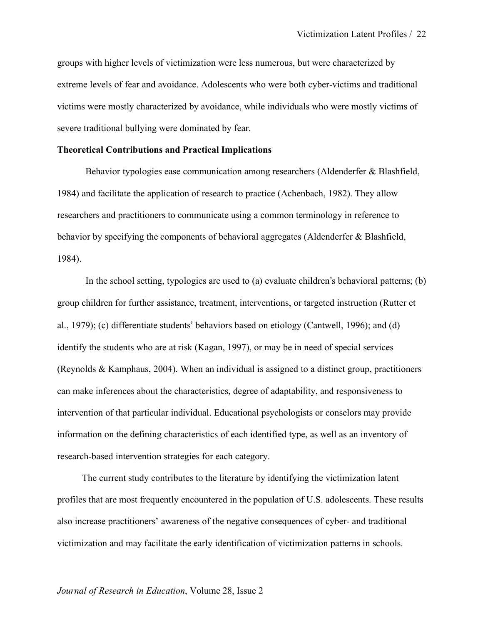groups with higher levels of victimization were less numerous, but were characterized by extreme levels of fear and avoidance. Adolescents who were both cyber-victims and traditional victims were mostly characterized by avoidance, while individuals who were mostly victims of severe traditional bullying were dominated by fear.

#### **Theoretical Contributions and Practical Implications**

Behavior typologies ease communication among researchers (Aldenderfer & Blashfield, 1984) and facilitate the application of research to practice (Achenbach, 1982). They allow researchers and practitioners to communicate using a common terminology in reference to behavior by specifying the components of behavioral aggregates (Aldenderfer & Blashfield, 1984).

In the school setting, typologies are used to (a) evaluate children's behavioral patterns; (b) group children for further assistance, treatment, interventions, or targeted instruction (Rutter et al., 1979); (c) differentiate students' behaviors based on etiology (Cantwell, 1996); and (d) identify the students who are at risk (Kagan, 1997), or may be in need of special services (Reynolds & Kamphaus, 2004). When an individual is assigned to a distinct group, practitioners can make inferences about the characteristics, degree of adaptability, and responsiveness to intervention of that particular individual. Educational psychologists or conselors may provide information on the defining characteristics of each identified type, as well as an inventory of research-based intervention strategies for each category.

The current study contributes to the literature by identifying the victimization latent profiles that are most frequently encountered in the population of U.S. adolescents. These results also increase practitioners' awareness of the negative consequences of cyber- and traditional victimization and may facilitate the early identification of victimization patterns in schools.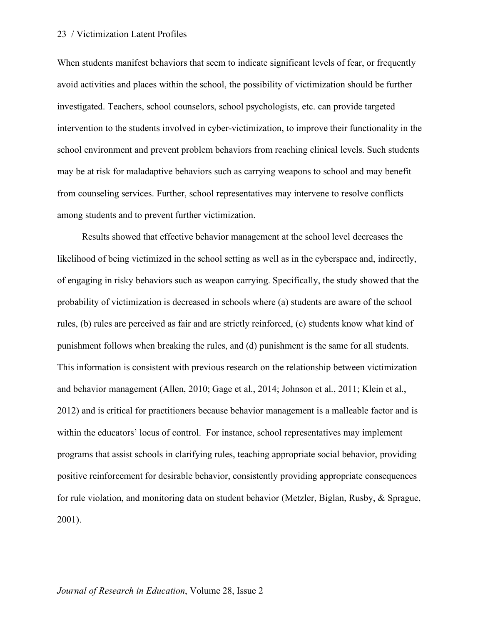When students manifest behaviors that seem to indicate significant levels of fear, or frequently avoid activities and places within the school, the possibility of victimization should be further investigated. Teachers, school counselors, school psychologists, etc. can provide targeted intervention to the students involved in cyber-victimization, to improve their functionality in the school environment and prevent problem behaviors from reaching clinical levels. Such students may be at risk for maladaptive behaviors such as carrying weapons to school and may benefit from counseling services. Further, school representatives may intervene to resolve conflicts among students and to prevent further victimization.

Results showed that effective behavior management at the school level decreases the likelihood of being victimized in the school setting as well as in the cyberspace and, indirectly, of engaging in risky behaviors such as weapon carrying. Specifically, the study showed that the probability of victimization is decreased in schools where (a) students are aware of the school rules, (b) rules are perceived as fair and are strictly reinforced, (c) students know what kind of punishment follows when breaking the rules, and (d) punishment is the same for all students. This information is consistent with previous research on the relationship between victimization and behavior management (Allen, 2010; Gage et al., 2014; Johnson et al., 2011; Klein et al., 2012) and is critical for practitioners because behavior management is a malleable factor and is within the educators' locus of control. For instance, school representatives may implement programs that assist schools in clarifying rules, teaching appropriate social behavior, providing positive reinforcement for desirable behavior, consistently providing appropriate consequences for rule violation, and monitoring data on student behavior (Metzler, Biglan, Rusby, & Sprague, 2001).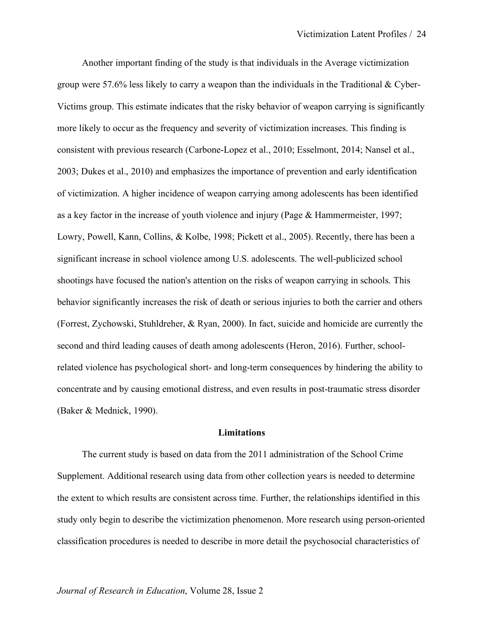Another important finding of the study is that individuals in the Average victimization group were 57.6% less likely to carry a weapon than the individuals in the Traditional & Cyber-Victims group. This estimate indicates that the risky behavior of weapon carrying is significantly more likely to occur as the frequency and severity of victimization increases. This finding is consistent with previous research (Carbone-Lopez et al., 2010; Esselmont, 2014; Nansel et al., 2003; Dukes et al., 2010) and emphasizes the importance of prevention and early identification of victimization. A higher incidence of weapon carrying among adolescents has been identified as a key factor in the increase of youth violence and injury (Page & Hammermeister, 1997; Lowry, Powell, Kann, Collins, & Kolbe, 1998; Pickett et al., 2005). Recently, there has been a significant increase in school violence among U.S. adolescents. The well-publicized school shootings have focused the nation's attention on the risks of weapon carrying in schools. This behavior significantly increases the risk of death or serious injuries to both the carrier and others (Forrest, Zychowski, Stuhldreher, & Ryan, 2000). In fact, suicide and homicide are currently the second and third leading causes of death among adolescents (Heron, 2016). Further, schoolrelated violence has psychological short- and long-term consequences by hindering the ability to concentrate and by causing emotional distress, and even results in post-traumatic stress disorder (Baker & Mednick, 1990).

#### **Limitations**

The current study is based on data from the 2011 administration of the School Crime Supplement. Additional research using data from other collection years is needed to determine the extent to which results are consistent across time. Further, the relationships identified in this study only begin to describe the victimization phenomenon. More research using person-oriented classification procedures is needed to describe in more detail the psychosocial characteristics of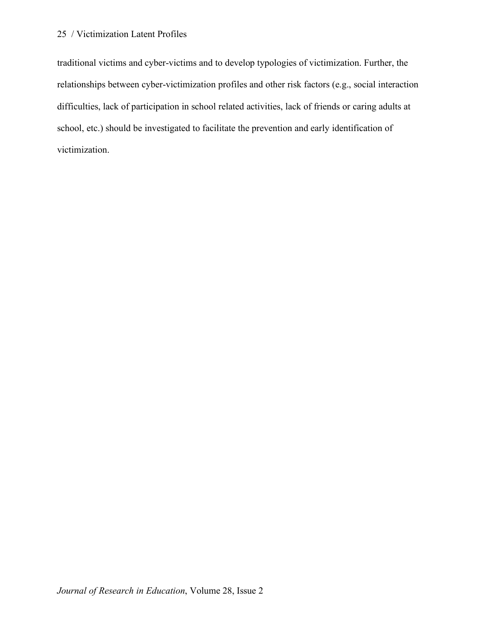traditional victims and cyber-victims and to develop typologies of victimization. Further, the relationships between cyber-victimization profiles and other risk factors (e.g., social interaction difficulties, lack of participation in school related activities, lack of friends or caring adults at school, etc.) should be investigated to facilitate the prevention and early identification of victimization.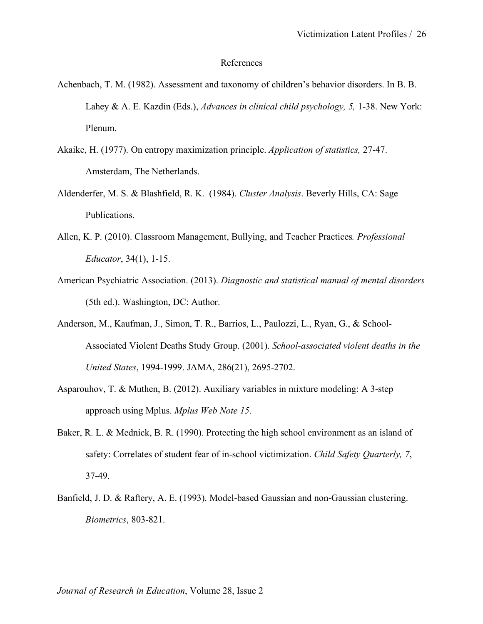#### References

- Achenbach, T. M. (1982). Assessment and taxonomy of children's behavior disorders. In B. B. Lahey & A. E. Kazdin (Eds.), *Advances in clinical child psychology, 5,* 1-38. New York: Plenum.
- Akaike, H. (1977). On entropy maximization principle. *Application of statistics,* 27-47. Amsterdam, The Netherlands.
- Aldenderfer, M. S. & Blashfield, R. K. (1984). *Cluster Analysis*. Beverly Hills, CA: Sage Publications.
- Allen, K. P. (2010). Classroom Management, Bullying, and Teacher Practices*. Professional Educator*, 34(1), 1-15.
- American Psychiatric Association. (2013). *Diagnostic and statistical manual of mental disorders* (5th ed.). Washington, DC: Author.
- Anderson, M., Kaufman, J., Simon, T. R., Barrios, L., Paulozzi, L., Ryan, G., & School-Associated Violent Deaths Study Group. (2001). *School-associated violent deaths in the United States*, 1994-1999. JAMA, 286(21), 2695-2702.
- Asparouhov, T. & Muthen, B. (2012). Auxiliary variables in mixture modeling: A 3-step approach using Mplus. *Mplus Web Note 15*.
- Baker, R. L. & Mednick, B. R. (1990). Protecting the high school environment as an island of safety: Correlates of student fear of in-school victimization. *Child Safety Quarterly, 7*, 37-49.
- Banfield, J. D. & Raftery, A. E. (1993). Model-based Gaussian and non-Gaussian clustering. *Biometrics*, 803-821.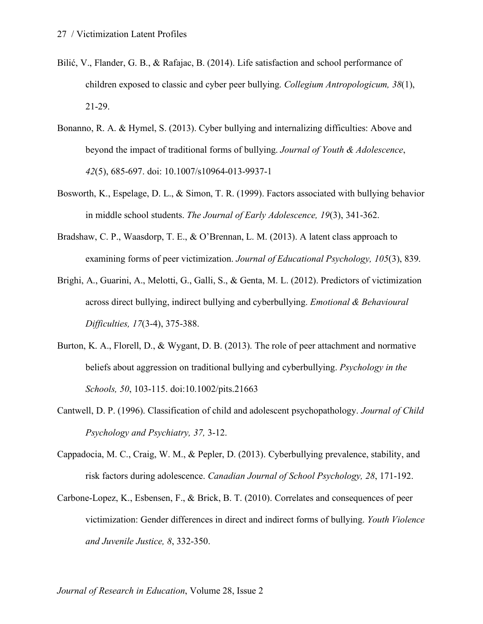- Bilić, V., Flander, G. B., & Rafajac, B. (2014). Life satisfaction and school performance of children exposed to classic and cyber peer bullying. *Collegium Antropologicum, 38*(1), 21-29.
- Bonanno, R. A. & Hymel, S. (2013). Cyber bullying and internalizing difficulties: Above and beyond the impact of traditional forms of bullying. *Journal of Youth & Adolescence*, *42*(5), 685-697. doi: 10.1007/s10964-013-9937-1
- Bosworth, K., Espelage, D. L., & Simon, T. R. (1999). Factors associated with bullying behavior in middle school students. *The Journal of Early Adolescence, 19*(3), 341-362.
- Bradshaw, C. P., Waasdorp, T. E., & O'Brennan, L. M. (2013). A latent class approach to examining forms of peer victimization. *Journal of Educational Psychology, 105*(3), 839.
- Brighi, A., Guarini, A., Melotti, G., Galli, S., & Genta, M. L. (2012). Predictors of victimization across direct bullying, indirect bullying and cyberbullying. *Emotional & Behavioural Difficulties, 17*(3-4), 375-388.
- Burton, K. A., Florell, D., & Wygant, D. B. (2013). The role of peer attachment and normative beliefs about aggression on traditional bullying and cyberbullying. *Psychology in the Schools, 50*, 103-115. doi:10.1002/pits.21663
- Cantwell, D. P. (1996). Classification of child and adolescent psychopathology. *Journal of Child Psychology and Psychiatry, 37,* 3-12.
- Cappadocia, M. C., Craig, W. M., & Pepler, D. (2013). Cyberbullying prevalence, stability, and risk factors during adolescence. *Canadian Journal of School Psychology, 28*, 171-192.
- Carbone-Lopez, K., Esbensen, F., & Brick, B. T. (2010). Correlates and consequences of peer victimization: Gender differences in direct and indirect forms of bullying. *Youth Violence and Juvenile Justice, 8*, 332-350.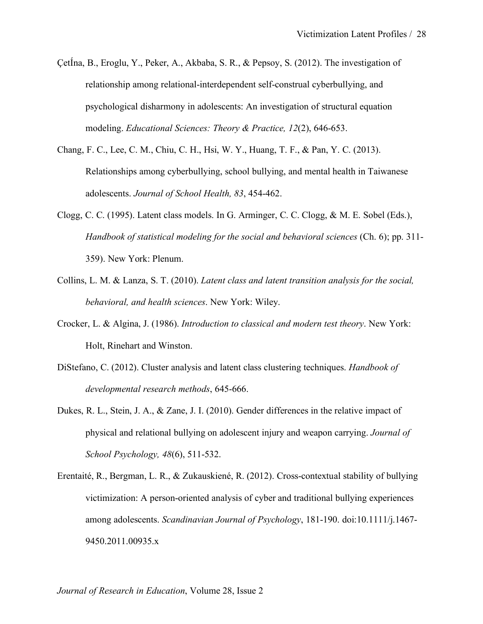- ÇetÍna, B., Eroglu, Y., Peker, A., Akbaba, S. R., & Pepsoy, S. (2012). The investigation of relationship among relational-interdependent self-construal cyberbullying, and psychological disharmony in adolescents: An investigation of structural equation modeling. *Educational Sciences: Theory & Practice, 12*(2), 646-653.
- Chang, F. C., Lee, C. M., Chiu, C. H., Hsi, W. Y., Huang, T. F., & Pan, Y. C. (2013). Relationships among cyberbullying, school bullying, and mental health in Taiwanese adolescents. *Journal of School Health, 83*, 454-462.
- Clogg, C. C. (1995). Latent class models. In G. Arminger, C. C. Clogg, & M. E. Sobel (Eds.), *Handbook of statistical modeling for the social and behavioral sciences* (Ch. 6); pp. 311- 359). New York: Plenum.
- Collins, L. M. & Lanza, S. T. (2010). *Latent class and latent transition analysis for the social, behavioral, and health sciences*. New York: Wiley.
- Crocker, L. & Algina, J. (1986). *Introduction to classical and modern test theory*. New York: Holt, Rinehart and Winston.
- DiStefano, C. (2012). Cluster analysis and latent class clustering techniques. *Handbook of developmental research methods*, 645-666.
- Dukes, R. L., Stein, J. A., & Zane, J. I. (2010). Gender differences in the relative impact of physical and relational bullying on adolescent injury and weapon carrying. *Journal of School Psychology, 48*(6), 511-532.
- Erentaité, R., Bergman, L. R., & Zukauskiené, R. (2012). Cross-contextual stability of bullying victimization: A person-oriented analysis of cyber and traditional bullying experiences among adolescents. *Scandinavian Journal of Psychology*, 181-190. doi:10.1111/j.1467- 9450.2011.00935.x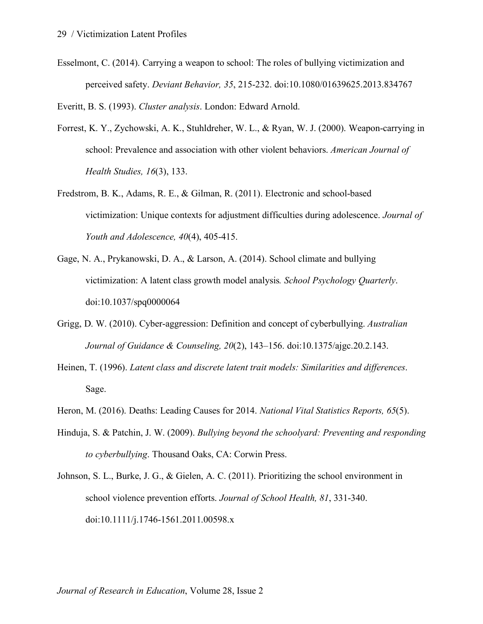Esselmont, C. (2014). Carrying a weapon to school: The roles of bullying victimization and perceived safety. *Deviant Behavior, 35*, 215-232. doi:10.1080/01639625.2013.834767

Everitt, B. S. (1993). *Cluster analysis*. London: Edward Arnold.

- Forrest, K. Y., Zychowski, A. K., Stuhldreher, W. L., & Ryan, W. J. (2000). Weapon-carrying in school: Prevalence and association with other violent behaviors. *American Journal of Health Studies, 16*(3), 133.
- Fredstrom, B. K., Adams, R. E., & Gilman, R. (2011). Electronic and school-based victimization: Unique contexts for adjustment difficulties during adolescence. *Journal of Youth and Adolescence, 40*(4), 405-415.
- Gage, N. A., Prykanowski, D. A., & Larson, A. (2014). School climate and bullying victimization: A latent class growth model analysis*. School Psychology Quarterly*. doi:10.1037/spq0000064
- Grigg, D. W. (2010). Cyber-aggression: Definition and concept of cyberbullying. *Australian Journal of Guidance & Counseling, 20*(2), 143–156. doi:10.1375/ajgc.20.2.143.
- Heinen, T. (1996). *Latent class and discrete latent trait models: Similarities and differences*. Sage.
- Heron, M. (2016). Deaths: Leading Causes for 2014. *National Vital Statistics Reports, 65*(5).
- Hinduja, S. & Patchin, J. W. (2009). *Bullying beyond the schoolyard: Preventing and responding to cyberbullying*. Thousand Oaks, CA: Corwin Press.
- Johnson, S. L., Burke, J. G., & Gielen, A. C. (2011). Prioritizing the school environment in school violence prevention efforts. *Journal of School Health, 81*, 331-340. doi:10.1111/j.1746-1561.2011.00598.x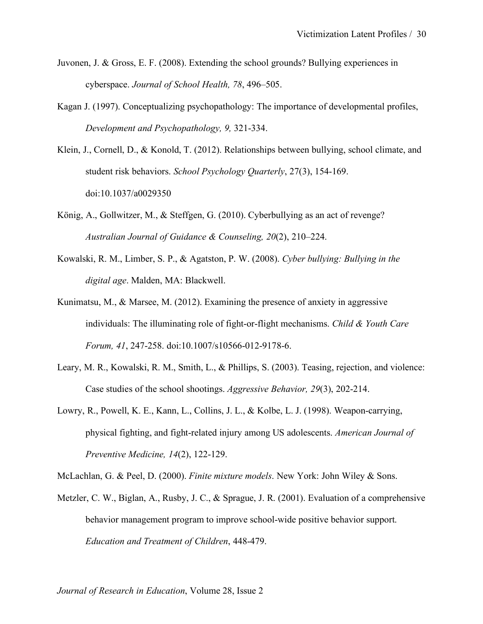- Juvonen, J. & Gross, E. F. (2008). Extending the school grounds? Bullying experiences in cyberspace. *Journal of School Health, 78*, 496–505.
- Kagan J. (1997). Conceptualizing psychopathology: The importance of developmental profiles, *Development and Psychopathology, 9,* 321-334.
- Klein, J., Cornell, D., & Konold, T. (2012). Relationships between bullying, school climate, and student risk behaviors. *School Psychology Quarterly*, 27(3), 154-169. doi:10.1037/a0029350
- König, A., Gollwitzer, M., & Steffgen, G. (2010). Cyberbullying as an act of revenge? *Australian Journal of Guidance & Counseling, 20*(2), 210–224.
- Kowalski, R. M., Limber, S. P., & Agatston, P. W. (2008). *Cyber bullying: Bullying in the digital age*. Malden, MA: Blackwell.
- Kunimatsu, M., & Marsee, M. (2012). Examining the presence of anxiety in aggressive individuals: The illuminating role of fight-or-flight mechanisms. *Child & Youth Care Forum, 41*, 247-258. doi:10.1007/s10566-012-9178-6.
- Leary, M. R., Kowalski, R. M., Smith, L., & Phillips, S. (2003). Teasing, rejection, and violence: Case studies of the school shootings. *Aggressive Behavior, 29*(3), 202-214.
- Lowry, R., Powell, K. E., Kann, L., Collins, J. L., & Kolbe, L. J. (1998). Weapon-carrying, physical fighting, and fight-related injury among US adolescents. *American Journal of Preventive Medicine, 14*(2), 122-129.

McLachlan, G. & Peel, D. (2000). *Finite mixture models*. New York: John Wiley & Sons.

Metzler, C. W., Biglan, A., Rusby, J. C., & Sprague, J. R. (2001). Evaluation of a comprehensive behavior management program to improve school-wide positive behavior support. *Education and Treatment of Children*, 448-479.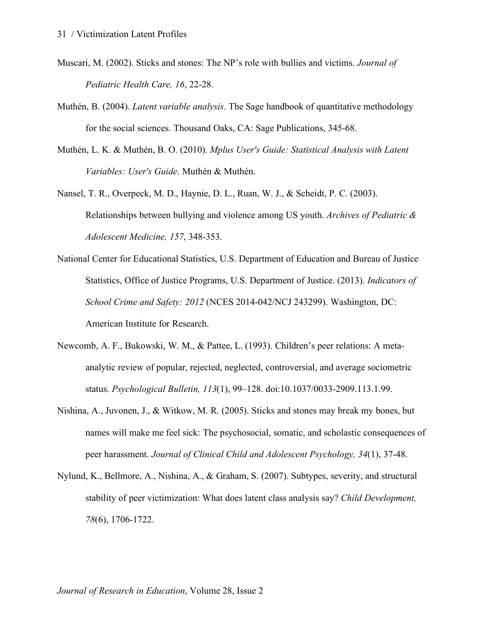- Muscari, M. (2002). Sticks and stones: The NP's role with bullies and victims. *Journal of Pediatric Health Care, 16*, 22-28.
- Muthén, B. (2004). *Latent variable analysis*. The Sage handbook of quantitative methodology for the social sciences. Thousand Oaks, CA: Sage Publications, 345-68.
- Muthén, L. K. & Muthén, B. O. (2010). *Mplus User's Guide: Statistical Analysis with Latent Variables: User's Guide*. Muthén & Muthén.
- Nansel, T. R., Overpeck, M. D., Haynie, D. L., Ruan, W. J., & Scheidt, P. C. (2003). Relationships between bullying and violence among US youth. *Archives of Pediatric & Adolescent Medicine, 157*, 348-353.
- National Center for Educational Statistics, U.S. Department of Education and Bureau of Justice Statistics, Office of Justice Programs, U.S. Department of Justice. (2013). *Indicators of School Crime and Safety: 2012* (NCES 2014-042/NCJ 243299). Washington, DC: American Institute for Research.
- Newcomb, A. F., Bukowski, W. M., & Pattee, L. (1993). Children's peer relations: A metaanalytic review of popular, rejected, neglected, controversial, and average sociometric status. *Psychological Bulletin, 113*(1), 99–128. doi:10.1037/0033-2909.113.1.99.
- Nishina, A., Juvonen, J., & Witkow, M. R. (2005). Sticks and stones may break my bones, but names will make me feel sick: The psychosocial, somatic, and scholastic consequences of peer harassment. *Journal of Clinical Child and Adolescent Psychology, 34*(1), 37-48.
- Nylund, K., Bellmore, A., Nishina, A., & Graham, S. (2007). Subtypes, severity, and structural stability of peer victimization: What does latent class analysis say? *Child Development, 78*(6), 1706-1722.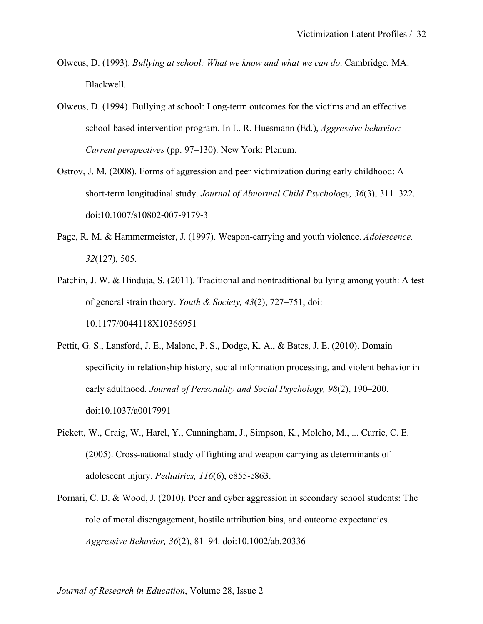- Olweus, D. (1993). *Bullying at school: What we know and what we can do*. Cambridge, MA: Blackwell.
- Olweus, D. (1994). Bullying at school: Long-term outcomes for the victims and an effective school-based intervention program. In L. R. Huesmann (Ed.), *Aggressive behavior: Current perspectives* (pp. 97–130). New York: Plenum.
- Ostrov, J. M. (2008). Forms of aggression and peer victimization during early childhood: A short-term longitudinal study. *Journal of Abnormal Child Psychology, 36*(3), 311–322. doi:10.1007/s10802-007-9179-3
- Page, R. M. & Hammermeister, J. (1997). Weapon-carrying and youth violence. *Adolescence, 32*(127), 505.
- Patchin, J. W. & Hinduja, S. (2011). Traditional and nontraditional bullying among youth: A test of general strain theory. *Youth & Society, 43*(2), 727–751, doi: 10.1177/0044118X10366951
- Pettit, G. S., Lansford, J. E., Malone, P. S., Dodge, K. A., & Bates, J. E. (2010). Domain specificity in relationship history, social information processing, and violent behavior in early adulthood*. Journal of Personality and Social Psychology, 98*(2), 190–200. doi:10.1037/a0017991
- Pickett, W., Craig, W., Harel, Y., Cunningham, J., Simpson, K., Molcho, M., ... Currie, C. E. (2005). Cross-national study of fighting and weapon carrying as determinants of adolescent injury. *Pediatrics, 116*(6), e855-e863.
- Pornari, C. D. & Wood, J. (2010). Peer and cyber aggression in secondary school students: The role of moral disengagement, hostile attribution bias, and outcome expectancies. *Aggressive Behavior, 36*(2), 81–94. doi:10.1002/ab.20336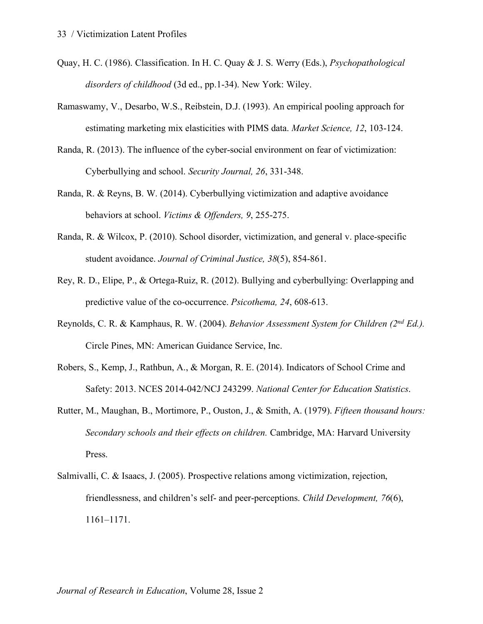- Quay, H. C. (1986). Classification. In H. C. Quay & J. S. Werry (Eds.), *Psychopathological disorders of childhood* (3d ed., pp.1-34). New York: Wiley.
- Ramaswamy, V., Desarbo, W.S., Reibstein, D.J. (1993). An empirical pooling approach for estimating marketing mix elasticities with PIMS data. *Market Science, 12*, 103-124.
- Randa, R. (2013). The influence of the cyber-social environment on fear of victimization: Cyberbullying and school. *Security Journal, 26*, 331-348.
- Randa, R. & Reyns, B. W. (2014). Cyberbullying victimization and adaptive avoidance behaviors at school. *Victims & Offenders, 9*, 255-275.
- Randa, R. & Wilcox, P. (2010). School disorder, victimization, and general v. place-specific student avoidance. *Journal of Criminal Justice, 38*(5), 854-861.
- Rey, R. D., Elipe, P., & Ortega-Ruiz, R. (2012). Bullying and cyberbullying: Overlapping and predictive value of the co-occurrence. *Psicothema, 24*, 608-613.
- Reynolds, C. R. & Kamphaus, R. W. (2004). *Behavior Assessment System for Children (2nd Ed.).* Circle Pines, MN: American Guidance Service, Inc.
- Robers, S., Kemp, J., Rathbun, A., & Morgan, R. E. (2014). Indicators of School Crime and Safety: 2013. NCES 2014-042/NCJ 243299. *National Center for Education Statistics*.
- Rutter, M., Maughan, B., Mortimore, P., Ouston, J., & Smith, A. (1979). *Fifteen thousand hours: Secondary schools and their effects on children.* Cambridge, MA: Harvard University Press.
- Salmivalli, C. & Isaacs, J. (2005). Prospective relations among victimization, rejection, friendlessness, and children's self- and peer-perceptions. *Child Development, 76*(6), 1161–1171.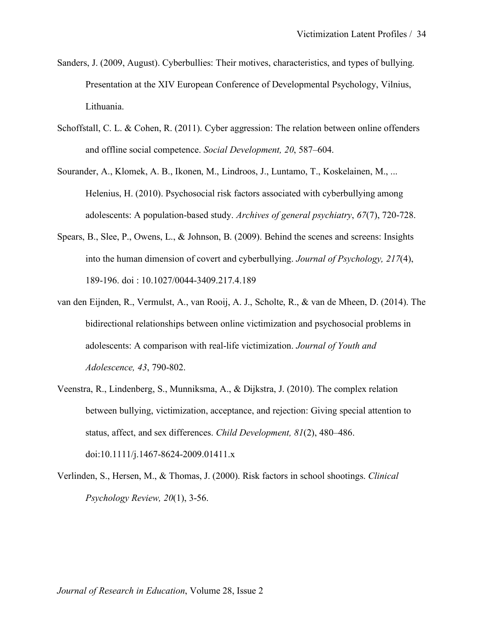- Sanders, J. (2009, August). Cyberbullies: Their motives, characteristics, and types of bullying. Presentation at the XIV European Conference of Developmental Psychology, Vilnius, Lithuania.
- Schoffstall, C. L. & Cohen, R. (2011). Cyber aggression: The relation between online offenders and offline social competence. *Social Development, 20*, 587–604.
- Sourander, A., Klomek, A. B., Ikonen, M., Lindroos, J., Luntamo, T., Koskelainen, M., ... Helenius, H. (2010). Psychosocial risk factors associated with cyberbullying among adolescents: A population-based study. *Archives of general psychiatry*, *67*(7), 720-728.
- Spears, B., Slee, P., Owens, L., & Johnson, B. (2009). Behind the scenes and screens: Insights into the human dimension of covert and cyberbullying. *Journal of Psychology, 217*(4), 189-196. doi : 10.1027/0044-3409.217.4.189
- van den Eijnden, R., Vermulst, A., van Rooij, A. J., Scholte, R., & van de Mheen, D. (2014). The bidirectional relationships between online victimization and psychosocial problems in adolescents: A comparison with real-life victimization. *Journal of Youth and Adolescence, 43*, 790-802.
- Veenstra, R., Lindenberg, S., Munniksma, A., & Dijkstra, J. (2010). The complex relation between bullying, victimization, acceptance, and rejection: Giving special attention to status, affect, and sex differences. *Child Development, 81*(2), 480–486. doi:10.1111/j.1467-8624-2009.01411.x
- Verlinden, S., Hersen, M., & Thomas, J. (2000). Risk factors in school shootings. *Clinical Psychology Review, 20*(1), 3-56.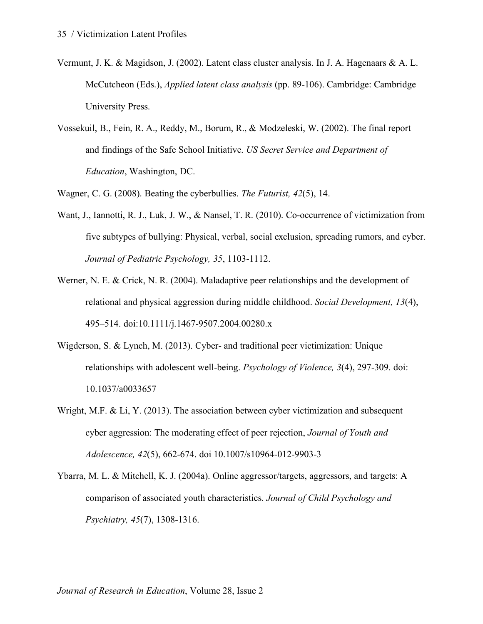- Vermunt, J. K. & Magidson, J. (2002). Latent class cluster analysis. In J. A. Hagenaars & A. L. McCutcheon (Eds.), *Applied latent class analysis* (pp. 89-106). Cambridge: Cambridge University Press.
- Vossekuil, B., Fein, R. A., Reddy, M., Borum, R., & Modzeleski, W. (2002). The final report and findings of the Safe School Initiative. *US Secret Service and Department of Education*, Washington, DC.

Wagner, C. G. (2008). Beating the cyberbullies. *The Futurist, 42*(5), 14.

- Want, J., Iannotti, R. J., Luk, J. W., & Nansel, T. R. (2010). Co-occurrence of victimization from five subtypes of bullying: Physical, verbal, social exclusion, spreading rumors, and cyber. *Journal of Pediatric Psychology, 35*, 1103-1112.
- Werner, N. E. & Crick, N. R. (2004). Maladaptive peer relationships and the development of relational and physical aggression during middle childhood. *Social Development, 13*(4), 495–514. doi:10.1111/j.1467-9507.2004.00280.x
- Wigderson, S. & Lynch, M. (2013). Cyber- and traditional peer victimization: Unique relationships with adolescent well-being. *Psychology of Violence, 3*(4), 297-309. doi: 10.1037/a0033657
- Wright, M.F. & Li, Y. (2013). The association between cyber victimization and subsequent cyber aggression: The moderating effect of peer rejection, *Journal of Youth and Adolescence, 42*(5), 662-674. doi 10.1007/s10964-012-9903-3
- Ybarra, M. L. & Mitchell, K. J. (2004a). Online aggressor/targets, aggressors, and targets: A comparison of associated youth characteristics. *Journal of Child Psychology and Psychiatry, 45*(7), 1308-1316.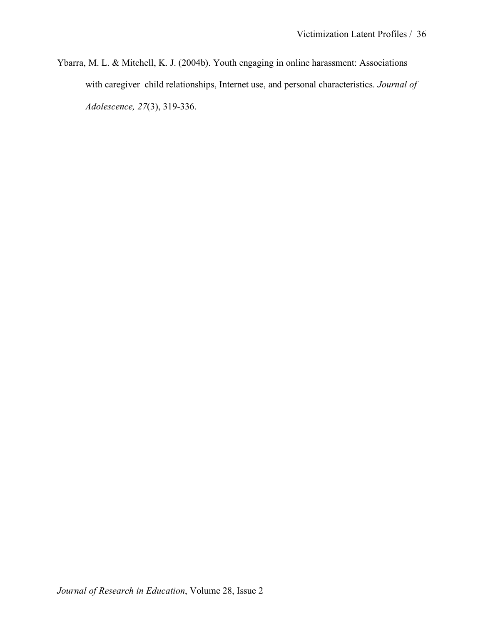Ybarra, M. L. & Mitchell, K. J. (2004b). Youth engaging in online harassment: Associations with caregiver–child relationships, Internet use, and personal characteristics. *Journal of Adolescence, 27*(3), 319-336.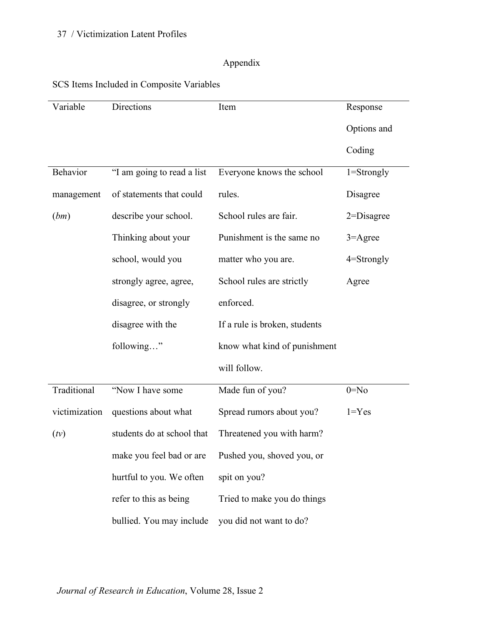# Appendix

|  |  | SCS Items Included in Composite Variables |  |  |
|--|--|-------------------------------------------|--|--|
|  |  |                                           |  |  |

| Variable      | Directions                 | Item                          | Response       |
|---------------|----------------------------|-------------------------------|----------------|
|               |                            |                               | Options and    |
|               |                            |                               | Coding         |
| Behavior      | "I am going to read a list | Everyone knows the school     | $1 =$ Strongly |
| management    | of statements that could   | rules.                        | Disagree       |
| (bm)          | describe your school.      | School rules are fair.        | $2 = Disagree$ |
|               | Thinking about your        | Punishment is the same no     | $3 =$ Agree    |
|               | school, would you          | matter who you are.           | 4=Strongly     |
|               | strongly agree, agree,     | School rules are strictly     | Agree          |
|               | disagree, or strongly      | enforced.                     |                |
|               | disagree with the          | If a rule is broken, students |                |
|               | following"                 | know what kind of punishment  |                |
|               |                            | will follow.                  |                |
| Traditional   | "Now I have some           | Made fun of you?              | $0 = No$       |
| victimization | questions about what       | Spread rumors about you?      | $1 = Yes$      |
| (tv)          | students do at school that | Threatened you with harm?     |                |
|               | make you feel bad or are   | Pushed you, shoved you, or    |                |
|               | hurtful to you. We often   | spit on you?                  |                |
|               | refer to this as being     | Tried to make you do things   |                |
|               | bullied. You may include   | you did not want to do?       |                |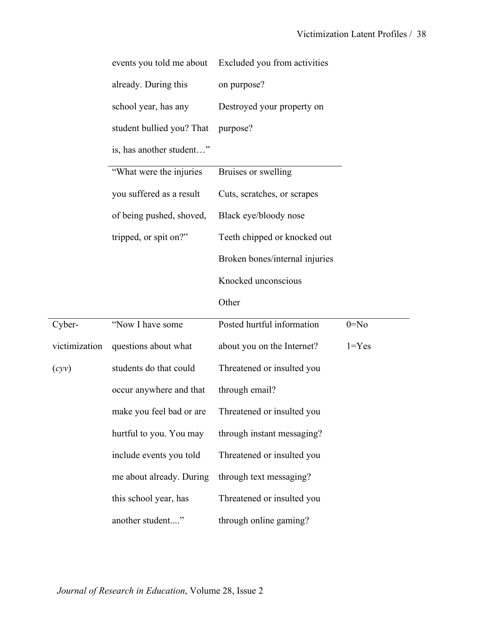|               | events you told me about  | Excluded you from activities   |           |
|---------------|---------------------------|--------------------------------|-----------|
|               | already. During this      | on purpose?                    |           |
|               | school year, has any      | Destroyed your property on     |           |
|               | student bullied you? That | purpose?                       |           |
|               | is, has another student"  |                                |           |
|               | "What were the injuries   | Bruises or swelling            |           |
|               | you suffered as a result  | Cuts, scratches, or scrapes    |           |
|               | of being pushed, shoved,  | Black eye/bloody nose          |           |
|               | tripped, or spit on?"     | Teeth chipped or knocked out   |           |
|               |                           | Broken bones/internal injuries |           |
|               |                           | Knocked unconscious            |           |
|               |                           |                                |           |
|               |                           | Other                          |           |
| Cyber-        | "Now I have some          | Posted hurtful information     | $0 = No$  |
| victimization | questions about what      | about you on the Internet?     | $1 = Yes$ |
| (cyy)         | students do that could    | Threatened or insulted you     |           |
|               | occur anywhere and that   | through email?                 |           |
|               | make you feel bad or are  | Threatened or insulted you     |           |
|               | hurtful to you. You may   | through instant messaging?     |           |
|               | include events you told   | Threatened or insulted you     |           |
|               | me about already. During  | through text messaging?        |           |
|               | this school year, has     | Threatened or insulted you     |           |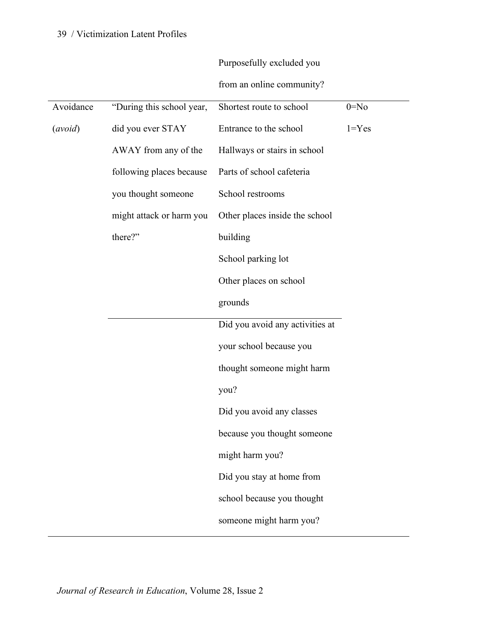|  | Purposefully excluded you |
|--|---------------------------|
|--|---------------------------|

from an online community?

| Avoidance | "During this school year, | Shortest route to school        | $0 = No$  |
|-----------|---------------------------|---------------------------------|-----------|
| (avoid)   | did you ever STAY         | Entrance to the school          | $1 = Yes$ |
|           | AWAY from any of the      | Hallways or stairs in school    |           |
|           | following places because  | Parts of school cafeteria       |           |
|           | you thought someone       | School restrooms                |           |
|           | might attack or harm you  | Other places inside the school  |           |
|           | there?"                   | building                        |           |
|           |                           | School parking lot              |           |
|           |                           | Other places on school          |           |
|           |                           | grounds                         |           |
|           |                           | Did you avoid any activities at |           |
|           |                           | your school because you         |           |
|           |                           | thought someone might harm      |           |
|           |                           | you?                            |           |
|           |                           | Did you avoid any classes       |           |
|           |                           | because you thought someone     |           |
|           |                           | might harm you?                 |           |
|           |                           | Did you stay at home from       |           |
|           |                           | school because you thought      |           |
|           |                           | someone might harm you?         |           |
|           |                           |                                 |           |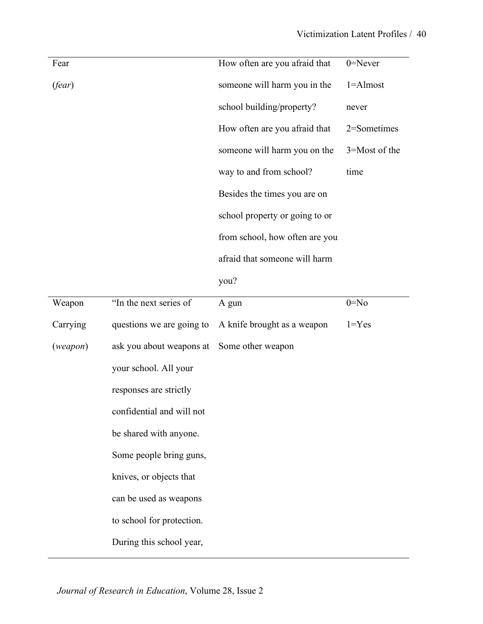| Fear       |                           | How often are you afraid that  | $0 =$ Never   |
|------------|---------------------------|--------------------------------|---------------|
| (fear)     |                           | someone will harm you in the   | $1 =$ Almost  |
|            |                           | school building/property?      | never         |
|            |                           | How often are you afraid that  | 2=Sometimes   |
|            |                           | someone will harm you on the   | 3=Most of the |
|            |                           | way to and from school?        | time          |
|            |                           | Besides the times you are on   |               |
|            |                           | school property or going to or |               |
|            |                           | from school, how often are you |               |
|            |                           | afraid that someone will harm  |               |
|            |                           | you?                           |               |
| Weapon     | "In the next series of    | A gun                          | $0 = No$      |
| Carrying   | questions we are going to | A knife brought as a weapon    | $1 = Yes$     |
| (we a pon) | ask you about weapons at  | Some other weapon              |               |
|            | your school. All your     |                                |               |
|            | responses are strictly    |                                |               |
|            | confidential and will not |                                |               |
|            | be shared with anyone.    |                                |               |
|            | Some people bring guns,   |                                |               |
|            | knives, or objects that   |                                |               |
|            | can be used as weapons    |                                |               |
|            | to school for protection. |                                |               |
|            | During this school year,  |                                |               |